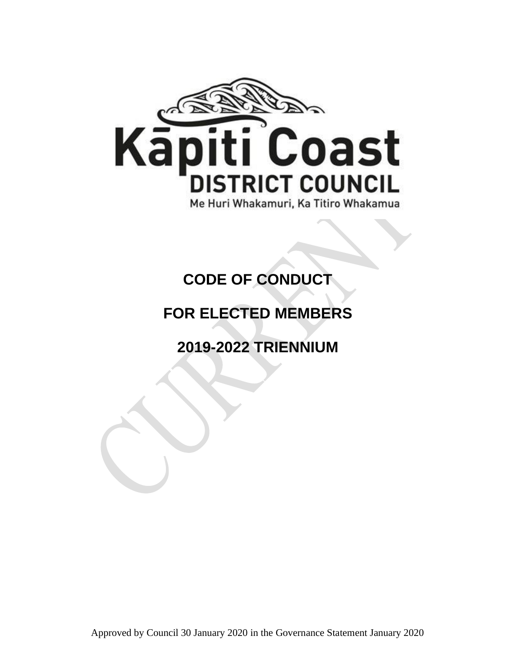

# **CODE OF CONDUCT**

## **FOR ELECTED MEMBERS**

## **2019-2022 TRIENNIUM**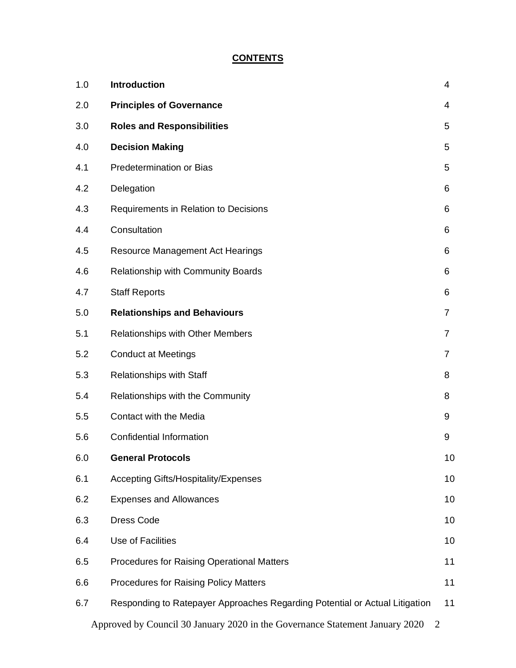## **CONTENTS**

| 1.0 | <b>Introduction</b>                                                                            | 4              |
|-----|------------------------------------------------------------------------------------------------|----------------|
| 2.0 | <b>Principles of Governance</b>                                                                | 4              |
| 3.0 | <b>Roles and Responsibilities</b>                                                              | 5              |
| 4.0 | <b>Decision Making</b>                                                                         | 5              |
| 4.1 | <b>Predetermination or Bias</b>                                                                | 5              |
| 4.2 | Delegation                                                                                     | 6              |
| 4.3 | Requirements in Relation to Decisions                                                          | 6              |
| 4.4 | Consultation                                                                                   | 6              |
| 4.5 | Resource Management Act Hearings                                                               | 6              |
| 4.6 | <b>Relationship with Community Boards</b>                                                      | 6              |
| 4.7 | <b>Staff Reports</b>                                                                           | 6              |
| 5.0 | <b>Relationships and Behaviours</b>                                                            | $\overline{7}$ |
| 5.1 | <b>Relationships with Other Members</b>                                                        | 7              |
| 5.2 | <b>Conduct at Meetings</b>                                                                     | 7              |
| 5.3 | Relationships with Staff                                                                       | 8              |
| 5.4 | Relationships with the Community                                                               | 8              |
| 5.5 | Contact with the Media                                                                         | 9              |
| 5.6 | <b>Confidential Information</b>                                                                | 9              |
| 6.0 | <b>General Protocols</b>                                                                       | 10             |
| 6.1 | <b>Accepting Gifts/Hospitality/Expenses</b>                                                    | 10             |
| 6.2 | <b>Expenses and Allowances</b>                                                                 | 10             |
| 6.3 | <b>Dress Code</b>                                                                              | 10             |
| 6.4 | Use of Facilities                                                                              | 10             |
| 6.5 | <b>Procedures for Raising Operational Matters</b>                                              | 11             |
| 6.6 | <b>Procedures for Raising Policy Matters</b>                                                   | 11             |
| 6.7 | Responding to Ratepayer Approaches Regarding Potential or Actual Litigation                    | 11             |
|     | Approved by Council 30 January 2020 in the Governance Statement January 2020<br>$\overline{2}$ |                |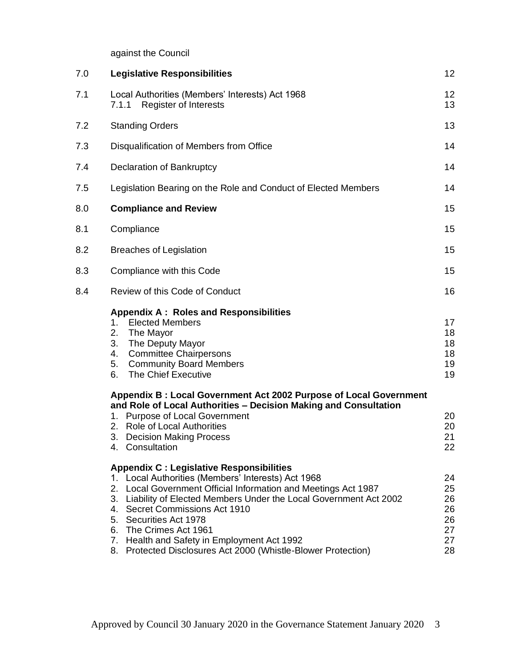against the Council

| 7.0 | <b>Legislative Responsibilities</b>                                                                                                                                                                                                                                                                                                                                                                                                                  | 12                                           |
|-----|------------------------------------------------------------------------------------------------------------------------------------------------------------------------------------------------------------------------------------------------------------------------------------------------------------------------------------------------------------------------------------------------------------------------------------------------------|----------------------------------------------|
| 7.1 | Local Authorities (Members' Interests) Act 1968<br><b>Register of Interests</b><br>7.1.1                                                                                                                                                                                                                                                                                                                                                             | 12<br>13                                     |
| 7.2 | <b>Standing Orders</b>                                                                                                                                                                                                                                                                                                                                                                                                                               | 13                                           |
| 7.3 | Disqualification of Members from Office                                                                                                                                                                                                                                                                                                                                                                                                              | 14                                           |
| 7.4 | Declaration of Bankruptcy                                                                                                                                                                                                                                                                                                                                                                                                                            | 14                                           |
| 7.5 | Legislation Bearing on the Role and Conduct of Elected Members                                                                                                                                                                                                                                                                                                                                                                                       | 14                                           |
| 8.0 | <b>Compliance and Review</b>                                                                                                                                                                                                                                                                                                                                                                                                                         | 15                                           |
| 8.1 | Compliance                                                                                                                                                                                                                                                                                                                                                                                                                                           | 15                                           |
| 8.2 | <b>Breaches of Legislation</b>                                                                                                                                                                                                                                                                                                                                                                                                                       | 15                                           |
| 8.3 | Compliance with this Code                                                                                                                                                                                                                                                                                                                                                                                                                            | 15                                           |
| 8.4 | Review of this Code of Conduct                                                                                                                                                                                                                                                                                                                                                                                                                       | 16                                           |
|     | <b>Appendix A: Roles and Responsibilities</b><br><b>Elected Members</b><br>1.<br>2.<br>The Mayor<br>3.<br>The Deputy Mayor<br><b>Committee Chairpersons</b><br>4.<br>5.<br><b>Community Board Members</b><br>The Chief Executive<br>6.                                                                                                                                                                                                               | 17<br>18<br>18<br>18<br>19<br>19             |
|     | Appendix B: Local Government Act 2002 Purpose of Local Government<br>and Role of Local Authorities - Decision Making and Consultation<br>1. Purpose of Local Government<br>2. Role of Local Authorities<br>3.<br><b>Decision Making Process</b><br>4. Consultation                                                                                                                                                                                   | 20<br>20<br>21<br>22                         |
|     | <b>Appendix C: Legislative Responsibilities</b><br>1. Local Authorities (Members' Interests) Act 1968<br>2. Local Government Official Information and Meetings Act 1987<br>3. Liability of Elected Members Under the Local Government Act 2002<br>4. Secret Commissions Act 1910<br>5. Securities Act 1978<br>6. The Crimes Act 1961<br>7. Health and Safety in Employment Act 1992<br>8. Protected Disclosures Act 2000 (Whistle-Blower Protection) | 24<br>25<br>26<br>26<br>26<br>27<br>27<br>28 |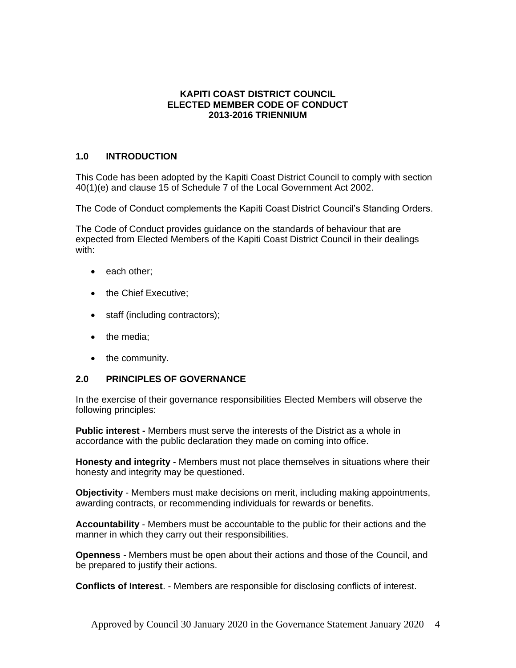#### **KAPITI COAST DISTRICT COUNCIL ELECTED MEMBER CODE OF CONDUCT 2013-2016 TRIENNIUM**

## **1.0 INTRODUCTION**

This Code has been adopted by the Kapiti Coast District Council to comply with section 40(1)(e) and clause 15 of Schedule 7 of the Local Government Act 2002.

The Code of Conduct complements the Kapiti Coast District Council's Standing Orders.

The Code of Conduct provides guidance on the standards of behaviour that are expected from Elected Members of the Kapiti Coast District Council in their dealings with:

- each other:
- the Chief Executive;
- staff (including contractors);
- the media:
- the community.

## **2.0 PRINCIPLES OF GOVERNANCE**

In the exercise of their governance responsibilities Elected Members will observe the following principles:

**Public interest -** Members must serve the interests of the District as a whole in accordance with the public declaration they made on coming into office.

**Honesty and integrity** - Members must not place themselves in situations where their honesty and integrity may be questioned.

**Objectivity** - Members must make decisions on merit, including making appointments, awarding contracts, or recommending individuals for rewards or benefits.

**Accountability** - Members must be accountable to the public for their actions and the manner in which they carry out their responsibilities.

**Openness** - Members must be open about their actions and those of the Council, and be prepared to justify their actions.

**Conflicts of Interest**. - Members are responsible for disclosing conflicts of interest.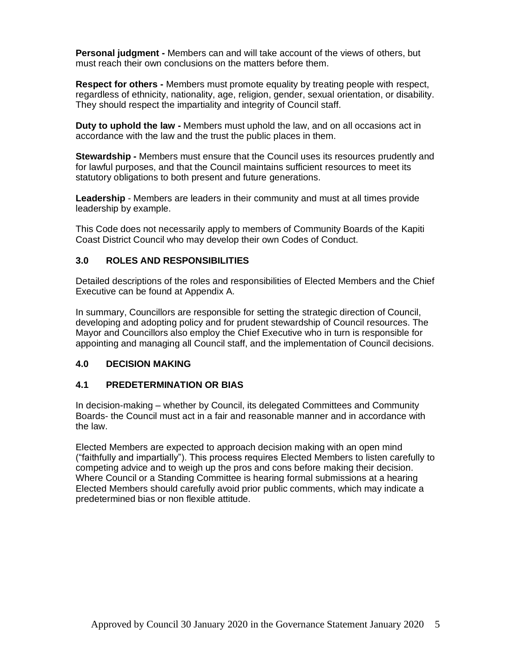**Personal judgment -** Members can and will take account of the views of others, but must reach their own conclusions on the matters before them.

**Respect for others -** Members must promote equality by treating people with respect, regardless of ethnicity, nationality, age, religion, gender, sexual orientation, or disability. They should respect the impartiality and integrity of Council staff.

**Duty to uphold the law -** Members must uphold the law, and on all occasions act in accordance with the law and the trust the public places in them.

**Stewardship -** Members must ensure that the Council uses its resources prudently and for lawful purposes, and that the Council maintains sufficient resources to meet its statutory obligations to both present and future generations.

**Leadership** - Members are leaders in their community and must at all times provide leadership by example.

This Code does not necessarily apply to members of Community Boards of the Kapiti Coast District Council who may develop their own Codes of Conduct.

## **3.0 ROLES AND RESPONSIBILITIES**

Detailed descriptions of the roles and responsibilities of Elected Members and the Chief Executive can be found at Appendix A.

In summary, Councillors are responsible for setting the strategic direction of Council, developing and adopting policy and for prudent stewardship of Council resources. The Mayor and Councillors also employ the Chief Executive who in turn is responsible for appointing and managing all Council staff, and the implementation of Council decisions.

#### **4.0 DECISION MAKING**

#### **4.1 PREDETERMINATION OR BIAS**

In decision-making – whether by Council, its delegated Committees and Community Boards- the Council must act in a fair and reasonable manner and in accordance with the law.

Elected Members are expected to approach decision making with an open mind ("faithfully and impartially"). This process requires Elected Members to listen carefully to competing advice and to weigh up the pros and cons before making their decision. Where Council or a Standing Committee is hearing formal submissions at a hearing Elected Members should carefully avoid prior public comments, which may indicate a predetermined bias or non flexible attitude.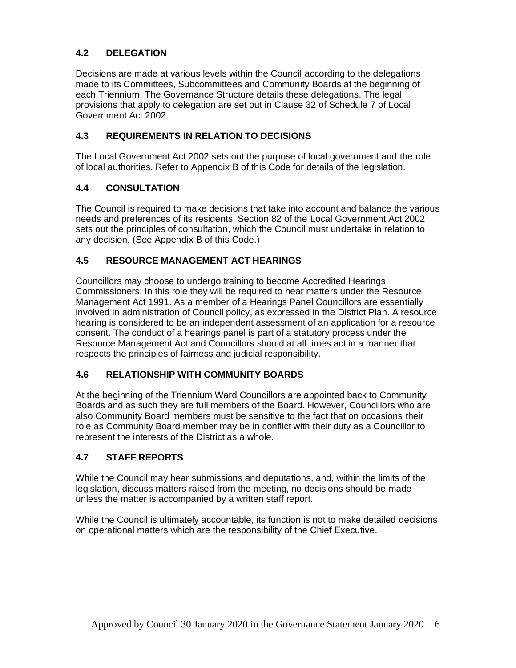## **4.2 DELEGATION**

Decisions are made at various levels within the Council according to the delegations made to its Committees, Subcommittees and Community Boards at the beginning of each Triennium. The Governance Structure details these delegations. The legal provisions that apply to delegation are set out in Clause 32 of Schedule 7 of Local Government Act 2002.

## **4.3 REQUIREMENTS IN RELATION TO DECISIONS**

The Local Government Act 2002 sets out the purpose of local government and the role of local authorities. Refer to Appendix B of this Code for details of the legislation.

## **4.4 CONSULTATION**

The Council is required to make decisions that take into account and balance the various needs and preferences of its residents. Section 82 of the Local Government Act 2002 sets out the principles of consultation, which the Council must undertake in relation to any decision. (See Appendix B of this Code.)

## **4.5 RESOURCE MANAGEMENT ACT HEARINGS**

Councillors may choose to undergo training to become Accredited Hearings Commissioners. In this role they will be required to hear matters under the Resource Management Act 1991. As a member of a Hearings Panel Councillors are essentially involved in administration of Council policy, as expressed in the District Plan. A resource hearing is considered to be an independent assessment of an application for a resource consent. The conduct of a hearings panel is part of a statutory process under the Resource Management Act and Councillors should at all times act in a manner that respects the principles of fairness and judicial responsibility.

## **4.6 RELATIONSHIP WITH COMMUNITY BOARDS**

At the beginning of the Triennium Ward Councillors are appointed back to Community Boards and as such they are full members of the Board. However, Councillors who are also Community Board members must be sensitive to the fact that on occasions their role as Community Board member may be in conflict with their duty as a Councillor to represent the interests of the District as a whole.

## **4.7 STAFF REPORTS**

While the Council may hear submissions and deputations, and, within the limits of the legislation, discuss matters raised from the meeting, no decisions should be made unless the matter is accompanied by a written staff report.

While the Council is ultimately accountable, its function is not to make detailed decisions on operational matters which are the responsibility of the Chief Executive.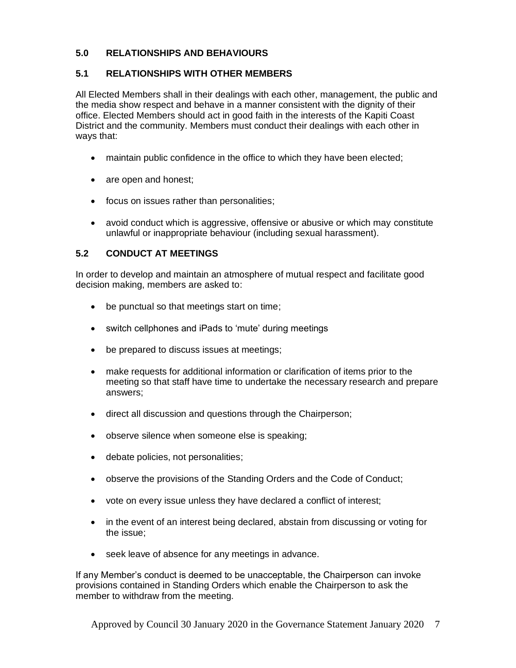## **5.0 RELATIONSHIPS AND BEHAVIOURS**

## **5.1 RELATIONSHIPS WITH OTHER MEMBERS**

All Elected Members shall in their dealings with each other, management, the public and the media show respect and behave in a manner consistent with the dignity of their office. Elected Members should act in good faith in the interests of the Kapiti Coast District and the community. Members must conduct their dealings with each other in ways that:

- maintain public confidence in the office to which they have been elected;
- are open and honest;
- focus on issues rather than personalities;
- avoid conduct which is aggressive, offensive or abusive or which may constitute unlawful or inappropriate behaviour (including sexual harassment).

## **5.2 CONDUCT AT MEETINGS**

In order to develop and maintain an atmosphere of mutual respect and facilitate good decision making, members are asked to:

- be punctual so that meetings start on time;
- switch cellphones and iPads to 'mute' during meetings
- be prepared to discuss issues at meetings;
- make requests for additional information or clarification of items prior to the meeting so that staff have time to undertake the necessary research and prepare answers;
- direct all discussion and questions through the Chairperson;
- observe silence when someone else is speaking;
- debate policies, not personalities;
- observe the provisions of the Standing Orders and the Code of Conduct;
- vote on every issue unless they have declared a conflict of interest;
- in the event of an interest being declared, abstain from discussing or voting for the issue;
- seek leave of absence for any meetings in advance.

If any Member's conduct is deemed to be unacceptable, the Chairperson can invoke provisions contained in Standing Orders which enable the Chairperson to ask the member to withdraw from the meeting.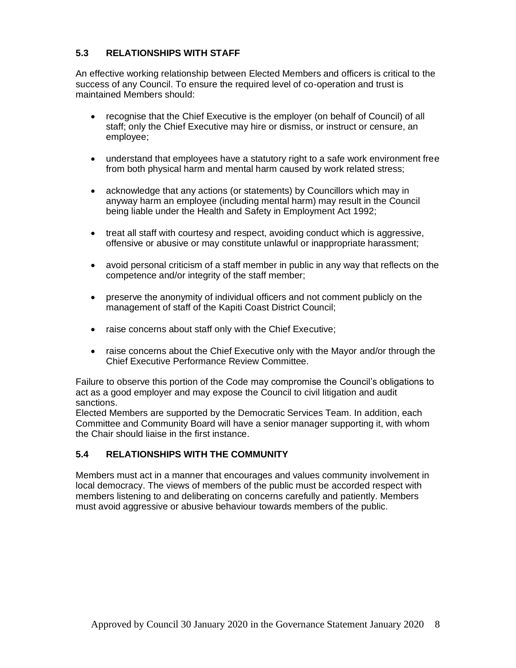## **5.3 RELATIONSHIPS WITH STAFF**

An effective working relationship between Elected Members and officers is critical to the success of any Council. To ensure the required level of co-operation and trust is maintained Members should:

- recognise that the Chief Executive is the employer (on behalf of Council) of all staff; only the Chief Executive may hire or dismiss, or instruct or censure, an employee;
- understand that employees have a statutory right to a safe work environment free from both physical harm and mental harm caused by work related stress;
- acknowledge that any actions (or statements) by Councillors which may in anyway harm an employee (including mental harm) may result in the Council being liable under the Health and Safety in Employment Act 1992;
- treat all staff with courtesy and respect, avoiding conduct which is aggressive, offensive or abusive or may constitute unlawful or inappropriate harassment;
- avoid personal criticism of a staff member in public in any way that reflects on the competence and/or integrity of the staff member;
- preserve the anonymity of individual officers and not comment publicly on the management of staff of the Kapiti Coast District Council;
- raise concerns about staff only with the Chief Executive;
- raise concerns about the Chief Executive only with the Mayor and/or through the Chief Executive Performance Review Committee.

Failure to observe this portion of the Code may compromise the Council's obligations to act as a good employer and may expose the Council to civil litigation and audit sanctions.

Elected Members are supported by the Democratic Services Team. In addition, each Committee and Community Board will have a senior manager supporting it, with whom the Chair should liaise in the first instance.

## **5.4 RELATIONSHIPS WITH THE COMMUNITY**

Members must act in a manner that encourages and values community involvement in local democracy. The views of members of the public must be accorded respect with members listening to and deliberating on concerns carefully and patiently. Members must avoid aggressive or abusive behaviour towards members of the public.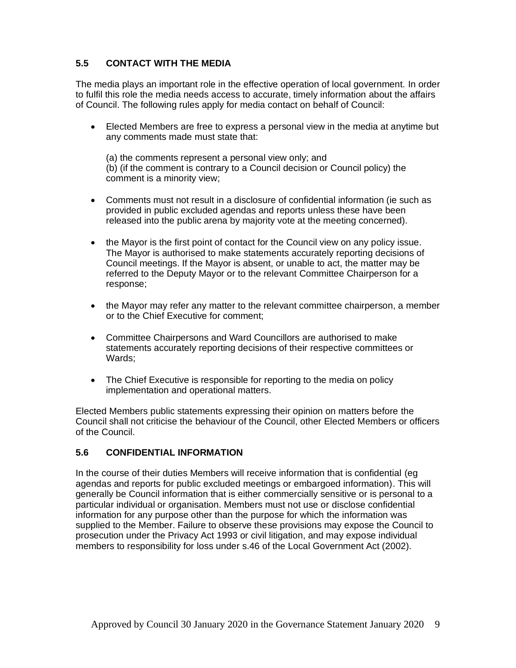## **5.5 CONTACT WITH THE MEDIA**

The media plays an important role in the effective operation of local government. In order to fulfil this role the media needs access to accurate, timely information about the affairs of Council. The following rules apply for media contact on behalf of Council:

• Elected Members are free to express a personal view in the media at anytime but any comments made must state that:

(a) the comments represent a personal view only; and (b) (if the comment is contrary to a Council decision or Council policy) the comment is a minority view;

- Comments must not result in a disclosure of confidential information (ie such as provided in public excluded agendas and reports unless these have been released into the public arena by majority vote at the meeting concerned).
- the Mayor is the first point of contact for the Council view on any policy issue. The Mayor is authorised to make statements accurately reporting decisions of Council meetings. If the Mayor is absent, or unable to act, the matter may be referred to the Deputy Mayor or to the relevant Committee Chairperson for a response;
- the Mayor may refer any matter to the relevant committee chairperson, a member or to the Chief Executive for comment;
- Committee Chairpersons and Ward Councillors are authorised to make statements accurately reporting decisions of their respective committees or Wards;
- The Chief Executive is responsible for reporting to the media on policy implementation and operational matters.

Elected Members public statements expressing their opinion on matters before the Council shall not criticise the behaviour of the Council, other Elected Members or officers of the Council.

## **5.6 CONFIDENTIAL INFORMATION**

In the course of their duties Members will receive information that is confidential (eg agendas and reports for public excluded meetings or embargoed information). This will generally be Council information that is either commercially sensitive or is personal to a particular individual or organisation. Members must not use or disclose confidential information for any purpose other than the purpose for which the information was supplied to the Member. Failure to observe these provisions may expose the Council to prosecution under the Privacy Act 1993 or civil litigation, and may expose individual members to responsibility for loss under s.46 of the Local Government Act (2002).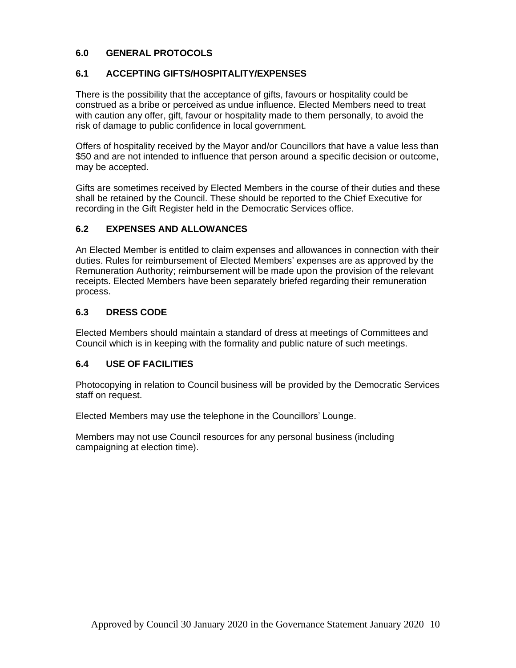## **6.0 GENERAL PROTOCOLS**

## **6.1 ACCEPTING GIFTS/HOSPITALITY/EXPENSES**

There is the possibility that the acceptance of gifts, favours or hospitality could be construed as a bribe or perceived as undue influence. Elected Members need to treat with caution any offer, gift, favour or hospitality made to them personally, to avoid the risk of damage to public confidence in local government.

Offers of hospitality received by the Mayor and/or Councillors that have a value less than \$50 and are not intended to influence that person around a specific decision or outcome, may be accepted.

Gifts are sometimes received by Elected Members in the course of their duties and these shall be retained by the Council. These should be reported to the Chief Executive for recording in the Gift Register held in the Democratic Services office.

## **6.2 EXPENSES AND ALLOWANCES**

An Elected Member is entitled to claim expenses and allowances in connection with their duties. Rules for reimbursement of Elected Members' expenses are as approved by the Remuneration Authority; reimbursement will be made upon the provision of the relevant receipts. Elected Members have been separately briefed regarding their remuneration process.

## **6.3 DRESS CODE**

Elected Members should maintain a standard of dress at meetings of Committees and Council which is in keeping with the formality and public nature of such meetings.

## **6.4 USE OF FACILITIES**

Photocopying in relation to Council business will be provided by the Democratic Services staff on request.

Elected Members may use the telephone in the Councillors' Lounge.

Members may not use Council resources for any personal business (including campaigning at election time).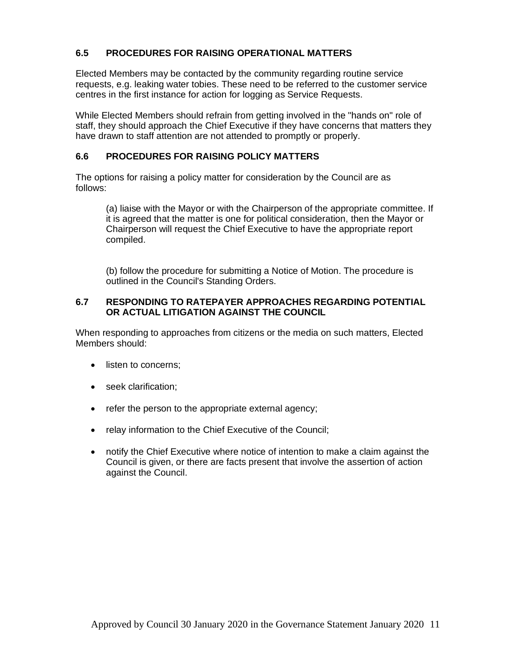## **6.5 PROCEDURES FOR RAISING OPERATIONAL MATTERS**

Elected Members may be contacted by the community regarding routine service requests, e.g. leaking water tobies. These need to be referred to the customer service centres in the first instance for action for logging as Service Requests.

While Elected Members should refrain from getting involved in the "hands on" role of staff, they should approach the Chief Executive if they have concerns that matters they have drawn to staff attention are not attended to promptly or properly.

#### **6.6 PROCEDURES FOR RAISING POLICY MATTERS**

The options for raising a policy matter for consideration by the Council are as follows:

(a) liaise with the Mayor or with the Chairperson of the appropriate committee. If it is agreed that the matter is one for political consideration, then the Mayor or Chairperson will request the Chief Executive to have the appropriate report compiled.

(b) follow the procedure for submitting a Notice of Motion. The procedure is outlined in the Council's Standing Orders.

#### **6.7 RESPONDING TO RATEPAYER APPROACHES REGARDING POTENTIAL OR ACTUAL LITIGATION AGAINST THE COUNCIL**

When responding to approaches from citizens or the media on such matters, Elected Members should:

- listen to concerns;
- seek clarification;
- refer the person to the appropriate external agency;
- relay information to the Chief Executive of the Council;
- notify the Chief Executive where notice of intention to make a claim against the Council is given, or there are facts present that involve the assertion of action against the Council.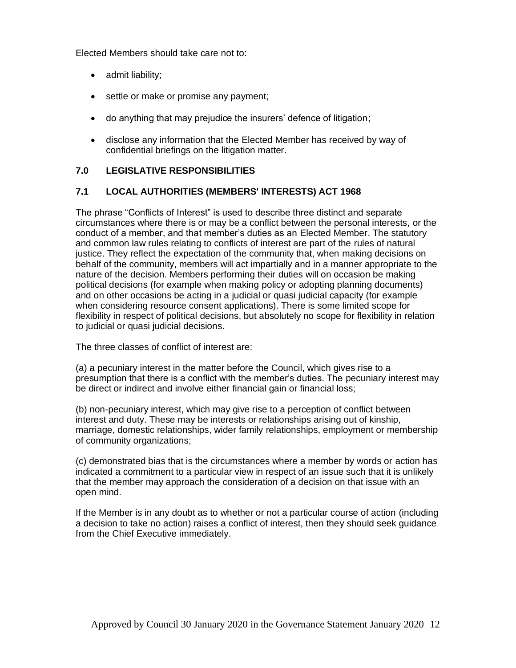Elected Members should take care not to:

- admit liability;
- settle or make or promise any payment;
- do anything that may prejudice the insurers' defence of litigation;
- disclose any information that the Elected Member has received by way of confidential briefings on the litigation matter.

## **7.0 LEGISLATIVE RESPONSIBILITIES**

## **7.1 LOCAL AUTHORITIES (MEMBERS' INTERESTS) ACT 1968**

The phrase "Conflicts of Interest" is used to describe three distinct and separate circumstances where there is or may be a conflict between the personal interests, or the conduct of a member, and that member's duties as an Elected Member. The statutory and common law rules relating to conflicts of interest are part of the rules of natural justice. They reflect the expectation of the community that, when making decisions on behalf of the community, members will act impartially and in a manner appropriate to the nature of the decision. Members performing their duties will on occasion be making political decisions (for example when making policy or adopting planning documents) and on other occasions be acting in a judicial or quasi judicial capacity (for example when considering resource consent applications). There is some limited scope for flexibility in respect of political decisions, but absolutely no scope for flexibility in relation to judicial or quasi judicial decisions.

The three classes of conflict of interest are:

(a) a pecuniary interest in the matter before the Council, which gives rise to a presumption that there is a conflict with the member's duties. The pecuniary interest may be direct or indirect and involve either financial gain or financial loss;

(b) non-pecuniary interest, which may give rise to a perception of conflict between interest and duty. These may be interests or relationships arising out of kinship, marriage, domestic relationships, wider family relationships, employment or membership of community organizations;

(c) demonstrated bias that is the circumstances where a member by words or action has indicated a commitment to a particular view in respect of an issue such that it is unlikely that the member may approach the consideration of a decision on that issue with an open mind.

If the Member is in any doubt as to whether or not a particular course of action (including a decision to take no action) raises a conflict of interest, then they should seek guidance from the Chief Executive immediately.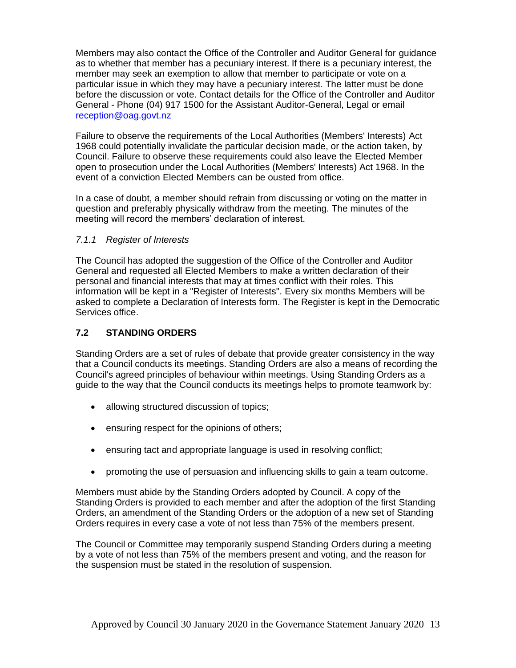Members may also contact the Office of the Controller and Auditor General for guidance as to whether that member has a pecuniary interest. If there is a pecuniary interest, the member may seek an exemption to allow that member to participate or vote on a particular issue in which they may have a pecuniary interest. The latter must be done before the discussion or vote. Contact details for the Office of the Controller and Auditor General - Phone (04) 917 1500 for the Assistant Auditor-General, Legal or email [reception@oag.govt.nz](mailto:reception@oag.govt.nz)

Failure to observe the requirements of the Local Authorities (Members' Interests) Act 1968 could potentially invalidate the particular decision made, or the action taken, by Council. Failure to observe these requirements could also leave the Elected Member open to prosecution under the Local Authorities (Members' Interests) Act 1968. In the event of a conviction Elected Members can be ousted from office.

In a case of doubt, a member should refrain from discussing or voting on the matter in question and preferably physically withdraw from the meeting. The minutes of the meeting will record the members' declaration of interest.

## *7.1.1 Register of Interests*

The Council has adopted the suggestion of the Office of the Controller and Auditor General and requested all Elected Members to make a written declaration of their personal and financial interests that may at times conflict with their roles. This information will be kept in a "Register of Interests". Every six months Members will be asked to complete a Declaration of Interests form. The Register is kept in the Democratic Services office.

## **7.2 STANDING ORDERS**

Standing Orders are a set of rules of debate that provide greater consistency in the way that a Council conducts its meetings. Standing Orders are also a means of recording the Council's agreed principles of behaviour within meetings. Using Standing Orders as a guide to the way that the Council conducts its meetings helps to promote teamwork by:

- allowing structured discussion of topics;
- ensuring respect for the opinions of others;
- ensuring tact and appropriate language is used in resolving conflict;
- promoting the use of persuasion and influencing skills to gain a team outcome.

Members must abide by the Standing Orders adopted by Council. A copy of the Standing Orders is provided to each member and after the adoption of the first Standing Orders, an amendment of the Standing Orders or the adoption of a new set of Standing Orders requires in every case a vote of not less than 75% of the members present.

The Council or Committee may temporarily suspend Standing Orders during a meeting by a vote of not less than 75% of the members present and voting, and the reason for the suspension must be stated in the resolution of suspension.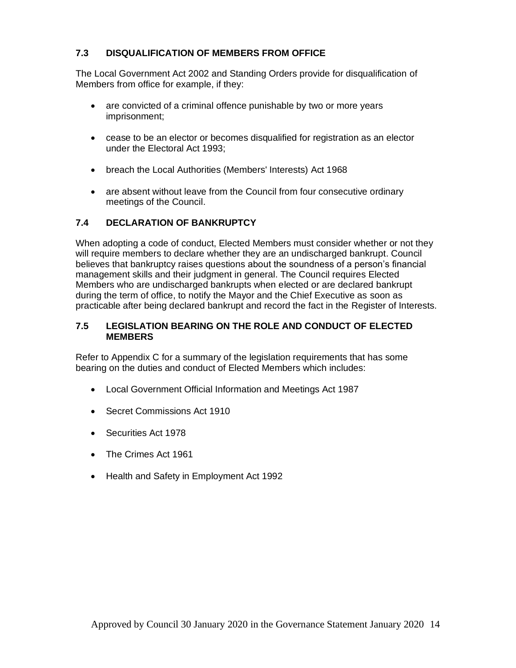## **7.3 DISQUALIFICATION OF MEMBERS FROM OFFICE**

The Local Government Act 2002 and Standing Orders provide for disqualification of Members from office for example, if they:

- are convicted of a criminal offence punishable by two or more years imprisonment;
- cease to be an elector or becomes disqualified for registration as an elector under the Electoral Act 1993;
- breach the Local Authorities (Members' Interests) Act 1968
- are absent without leave from the Council from four consecutive ordinary meetings of the Council.

## **7.4 DECLARATION OF BANKRUPTCY**

When adopting a code of conduct, Elected Members must consider whether or not they will require members to declare whether they are an undischarged bankrupt. Council believes that bankruptcy raises questions about the soundness of a person's financial management skills and their judgment in general. The Council requires Elected Members who are undischarged bankrupts when elected or are declared bankrupt during the term of office, to notify the Mayor and the Chief Executive as soon as practicable after being declared bankrupt and record the fact in the Register of Interests.

#### **7.5 LEGISLATION BEARING ON THE ROLE AND CONDUCT OF ELECTED MEMBERS**

Refer to Appendix C for a summary of the legislation requirements that has some bearing on the duties and conduct of Elected Members which includes:

- Local Government Official Information and Meetings Act 1987
- Secret Commissions Act 1910
- Securities Act 1978
- The Crimes Act 1961
- Health and Safety in Employment Act 1992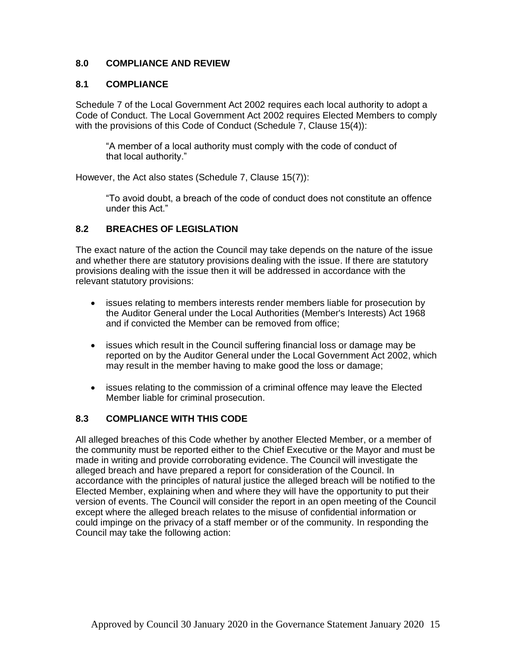## **8.0 COMPLIANCE AND REVIEW**

## **8.1 COMPLIANCE**

Schedule 7 of the Local Government Act 2002 requires each local authority to adopt a Code of Conduct. The Local Government Act 2002 requires Elected Members to comply with the provisions of this Code of Conduct (Schedule 7, Clause 15(4)):

"A member of a local authority must comply with the code of conduct of that local authority."

However, the Act also states (Schedule 7, Clause 15(7)):

"To avoid doubt, a breach of the code of conduct does not constitute an offence under this Act."

## **8.2 BREACHES OF LEGISLATION**

The exact nature of the action the Council may take depends on the nature of the issue and whether there are statutory provisions dealing with the issue. If there are statutory provisions dealing with the issue then it will be addressed in accordance with the relevant statutory provisions:

- issues relating to members interests render members liable for prosecution by the Auditor General under the Local Authorities (Member's Interests) Act 1968 and if convicted the Member can be removed from office;
- issues which result in the Council suffering financial loss or damage may be reported on by the Auditor General under the Local Government Act 2002, which may result in the member having to make good the loss or damage;
- issues relating to the commission of a criminal offence may leave the Elected Member liable for criminal prosecution.

## **8.3 COMPLIANCE WITH THIS CODE**

All alleged breaches of this Code whether by another Elected Member, or a member of the community must be reported either to the Chief Executive or the Mayor and must be made in writing and provide corroborating evidence. The Council will investigate the alleged breach and have prepared a report for consideration of the Council. In accordance with the principles of natural justice the alleged breach will be notified to the Elected Member, explaining when and where they will have the opportunity to put their version of events. The Council will consider the report in an open meeting of the Council except where the alleged breach relates to the misuse of confidential information or could impinge on the privacy of a staff member or of the community. In responding the Council may take the following action: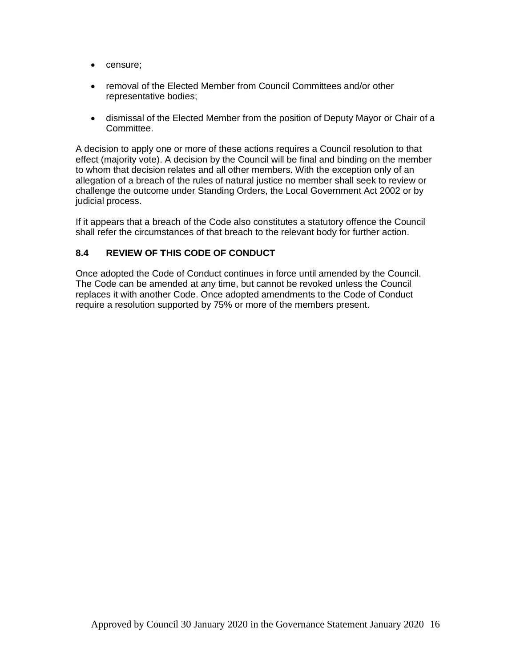- censure;
- removal of the Elected Member from Council Committees and/or other representative bodies;
- dismissal of the Elected Member from the position of Deputy Mayor or Chair of a Committee.

A decision to apply one or more of these actions requires a Council resolution to that effect (majority vote). A decision by the Council will be final and binding on the member to whom that decision relates and all other members. With the exception only of an allegation of a breach of the rules of natural justice no member shall seek to review or challenge the outcome under Standing Orders, the Local Government Act 2002 or by judicial process.

If it appears that a breach of the Code also constitutes a statutory offence the Council shall refer the circumstances of that breach to the relevant body for further action.

## **8.4 REVIEW OF THIS CODE OF CONDUCT**

Once adopted the Code of Conduct continues in force until amended by the Council. The Code can be amended at any time, but cannot be revoked unless the Council replaces it with another Code. Once adopted amendments to the Code of Conduct require a resolution supported by 75% or more of the members present.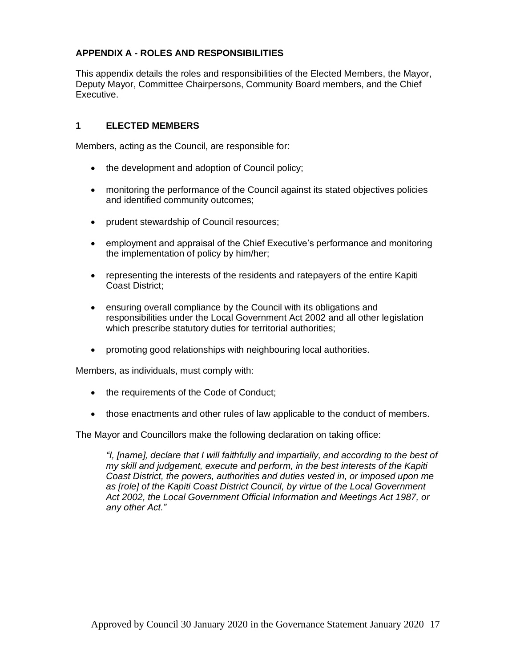## **APPENDIX A - ROLES AND RESPONSIBILITIES**

This appendix details the roles and responsibilities of the Elected Members, the Mayor, Deputy Mayor, Committee Chairpersons, Community Board members, and the Chief Executive.

## **1 ELECTED MEMBERS**

Members, acting as the Council, are responsible for:

- the development and adoption of Council policy;
- monitoring the performance of the Council against its stated objectives policies and identified community outcomes;
- prudent stewardship of Council resources;
- employment and appraisal of the Chief Executive's performance and monitoring the implementation of policy by him/her;
- representing the interests of the residents and ratepayers of the entire Kapiti Coast District;
- ensuring overall compliance by the Council with its obligations and responsibilities under the Local Government Act 2002 and all other legislation which prescribe statutory duties for territorial authorities;
- promoting good relationships with neighbouring local authorities.

Members, as individuals, must comply with:

- the requirements of the Code of Conduct;
- those enactments and other rules of law applicable to the conduct of members.

The Mayor and Councillors make the following declaration on taking office:

*"I, [name], declare that I will faithfully and impartially, and according to the best of my skill and judgement, execute and perform, in the best interests of the Kapiti Coast District, the powers, authorities and duties vested in, or imposed upon me*  as [role] of the Kapiti Coast District Council, by virtue of the Local Government *Act 2002, the Local Government Official Information and Meetings Act 1987, or any other Act."*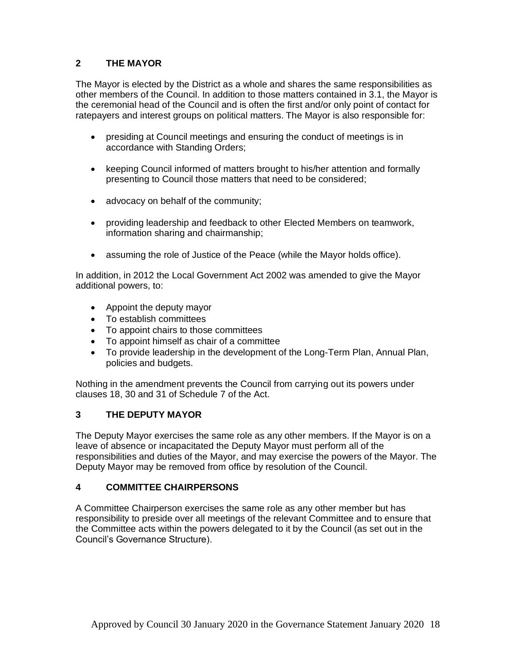## **2 THE MAYOR**

The Mayor is elected by the District as a whole and shares the same responsibilities as other members of the Council. In addition to those matters contained in 3.1, the Mayor is the ceremonial head of the Council and is often the first and/or only point of contact for ratepayers and interest groups on political matters. The Mayor is also responsible for:

- presiding at Council meetings and ensuring the conduct of meetings is in accordance with Standing Orders;
- keeping Council informed of matters brought to his/her attention and formally presenting to Council those matters that need to be considered;
- advocacy on behalf of the community;
- providing leadership and feedback to other Elected Members on teamwork, information sharing and chairmanship;
- assuming the role of Justice of the Peace (while the Mayor holds office).

In addition, in 2012 the Local Government Act 2002 was amended to give the Mayor additional powers, to:

- Appoint the deputy mayor
- To establish committees
- To appoint chairs to those committees
- To appoint himself as chair of a committee
- To provide leadership in the development of the Long-Term Plan, Annual Plan, policies and budgets.

Nothing in the amendment prevents the Council from carrying out its powers under clauses 18, 30 and 31 of Schedule 7 of the Act.

## **3 THE DEPUTY MAYOR**

The Deputy Mayor exercises the same role as any other members. If the Mayor is on a leave of absence or incapacitated the Deputy Mayor must perform all of the responsibilities and duties of the Mayor, and may exercise the powers of the Mayor. The Deputy Mayor may be removed from office by resolution of the Council.

## **4 COMMITTEE CHAIRPERSONS**

A Committee Chairperson exercises the same role as any other member but has responsibility to preside over all meetings of the relevant Committee and to ensure that the Committee acts within the powers delegated to it by the Council (as set out in the Council's Governance Structure).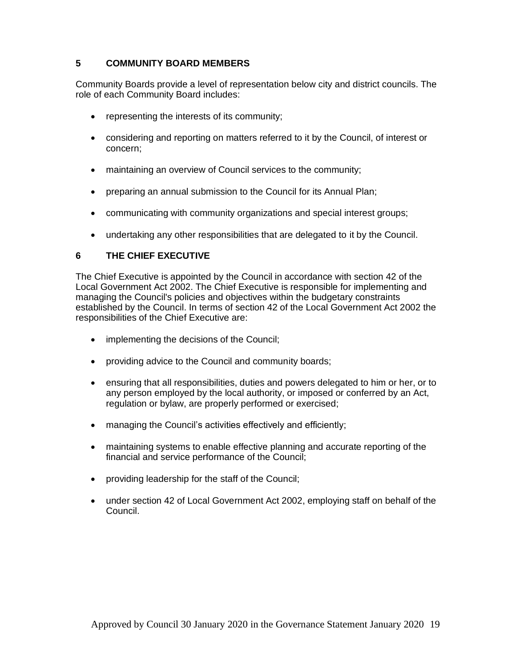## **5 COMMUNITY BOARD MEMBERS**

Community Boards provide a level of representation below city and district councils. The role of each Community Board includes:

- representing the interests of its community;
- considering and reporting on matters referred to it by the Council, of interest or concern;
- maintaining an overview of Council services to the community;
- preparing an annual submission to the Council for its Annual Plan:
- communicating with community organizations and special interest groups;
- undertaking any other responsibilities that are delegated to it by the Council.

## **6 THE CHIEF EXECUTIVE**

The Chief Executive is appointed by the Council in accordance with section 42 of the Local Government Act 2002. The Chief Executive is responsible for implementing and managing the Council's policies and objectives within the budgetary constraints established by the Council. In terms of section 42 of the Local Government Act 2002 the responsibilities of the Chief Executive are:

- implementing the decisions of the Council;
- providing advice to the Council and community boards;
- ensuring that all responsibilities, duties and powers delegated to him or her, or to any person employed by the local authority, or imposed or conferred by an Act, regulation or bylaw, are properly performed or exercised;
- managing the Council's activities effectively and efficiently;
- maintaining systems to enable effective planning and accurate reporting of the financial and service performance of the Council;
- providing leadership for the staff of the Council;
- under section 42 of Local Government Act 2002, employing staff on behalf of the Council.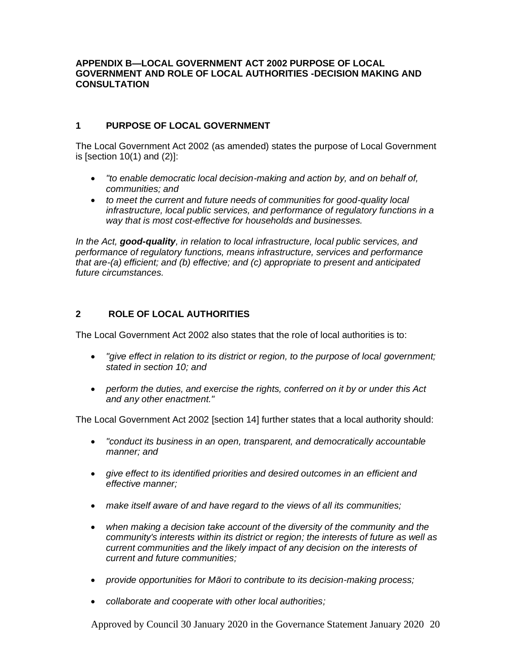#### **APPENDIX B—LOCAL GOVERNMENT ACT 2002 PURPOSE OF LOCAL GOVERNMENT AND ROLE OF LOCAL AUTHORITIES -DECISION MAKING AND CONSULTATION**

## **1 PURPOSE OF LOCAL GOVERNMENT**

The Local Government Act 2002 (as amended) states the purpose of Local Government is [section 10(1) and (2)]:

- *"to enable democratic local decision-making and action by, and on behalf of, communities; and*
- *to meet the current and future needs of communities for good-quality local infrastructure, local public services, and performance of regulatory functions in a way that is most cost-effective for households and businesses.*

*In the Act, good-quality, in relation to local infrastructure, local public services, and performance of regulatory functions, means infrastructure, services and performance that are-(a) efficient; and (b) effective; and (c) appropriate to present and anticipated future circumstances.*

## **2 ROLE OF LOCAL AUTHORITIES**

The Local Government Act 2002 also states that the role of local authorities is to:

- *"give effect in relation to its district or region, to the purpose of local government; stated in section 10; and*
- *perform the duties, and exercise the rights, conferred on it by or under this Act and any other enactment."*

The Local Government Act 2002 [section 14] further states that a local authority should:

- *"conduct its business in an open, transparent, and democratically accountable manner; and*
- *give effect to its identified priorities and desired outcomes in an efficient and effective manner;*
- *make itself aware of and have regard to the views of all its communities;*
- *when making a decision take account of the diversity of the community and the community's interests within its district or region; the interests of future as well as current communities and the likely impact of any decision on the interests of current and future communities;*
- *provide opportunities for Māori to contribute to its decision-making process;*
- *collaborate and cooperate with other local authorities;*

Approved by Council 30 January 2020 in the Governance Statement January 2020 20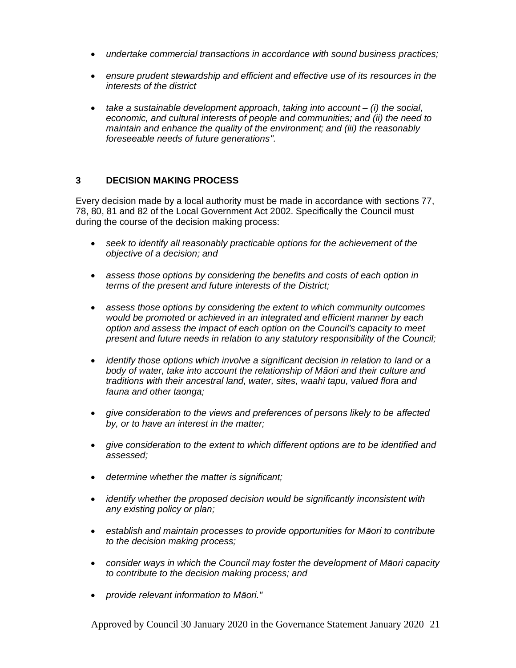- *undertake commercial transactions in accordance with sound business practices;*
- *ensure prudent stewardship and efficient and effective use of its resources in the interests of the district*
- *take a sustainable development approach, taking into account – (i) the social, economic, and cultural interests of people and communities; and (ii) the need to maintain and enhance the quality of the environment; and (iii) the reasonably foreseeable needs of future generations".*

#### **3 DECISION MAKING PROCESS**

Every decision made by a local authority must be made in accordance with sections 77, 78, 80, 81 and 82 of the Local Government Act 2002. Specifically the Council must during the course of the decision making process:

- *seek to identify all reasonably practicable options for the achievement of the objective of a decision; and*
- *assess those options by considering the benefits and costs of each option in terms of the present and future interests of the District;*
- *assess those options by considering the extent to which community outcomes would be promoted or achieved in an integrated and efficient manner by each option and assess the impact of each option on the Council's capacity to meet present and future needs in relation to any statutory responsibility of the Council;*
- *identify those options which involve a significant decision in relation to land or a body of water, take into account the relationship of Māori and their culture and traditions with their ancestral land, water, sites, waahi tapu, valued flora and fauna and other taonga;*
- *give consideration to the views and preferences of persons likely to be affected by, or to have an interest in the matter;*
- *give consideration to the extent to which different options are to be identified and assessed;*
- *determine whether the matter is significant;*
- *identify whether the proposed decision would be significantly inconsistent with any existing policy or plan;*
- *establish and maintain processes to provide opportunities for Māori to contribute to the decision making process;*
- *consider ways in which the Council may foster the development of Māori capacity to contribute to the decision making process; and*
- *provide relevant information to Māori."*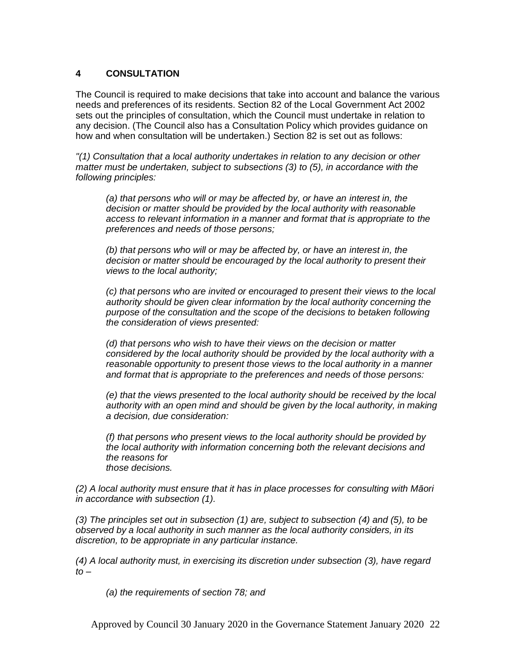## **4 CONSULTATION**

The Council is required to make decisions that take into account and balance the various needs and preferences of its residents. Section 82 of the Local Government Act 2002 sets out the principles of consultation, which the Council must undertake in relation to any decision. (The Council also has a Consultation Policy which provides guidance on how and when consultation will be undertaken.) Section 82 is set out as follows:

*"(1) Consultation that a local authority undertakes in relation to any decision or other matter must be undertaken, subject to subsections (3) to (5), in accordance with the following principles:*

*(a) that persons who will or may be affected by, or have an interest in, the decision or matter should be provided by the local authority with reasonable access to relevant information in a manner and format that is appropriate to the preferences and needs of those persons;*

*(b) that persons who will or may be affected by, or have an interest in, the decision or matter should be encouraged by the local authority to present their views to the local authority;*

*(c) that persons who are invited or encouraged to present their views to the local authority should be given clear information by the local authority concerning the purpose of the consultation and the scope of the decisions to betaken following the consideration of views presented:*

*(d) that persons who wish to have their views on the decision or matter considered by the local authority should be provided by the local authority with a reasonable opportunity to present those views to the local authority in a manner and format that is appropriate to the preferences and needs of those persons:*

*(e) that the views presented to the local authority should be received by the local authority with an open mind and should be given by the local authority, in making a decision, due consideration:*

*(f) that persons who present views to the local authority should be provided by the local authority with information concerning both the relevant decisions and the reasons for those decisions.*

*(2) A local authority must ensure that it has in place processes for consulting with Māori in accordance with subsection (1).*

*(3) The principles set out in subsection (1) are, subject to subsection (4) and (5), to be observed by a local authority in such manner as the local authority considers, in its discretion, to be appropriate in any particular instance.*

*(4) A local authority must, in exercising its discretion under subsection (3), have regard to –*

*(a) the requirements of section 78; and*

Approved by Council 30 January 2020 in the Governance Statement January 2020 22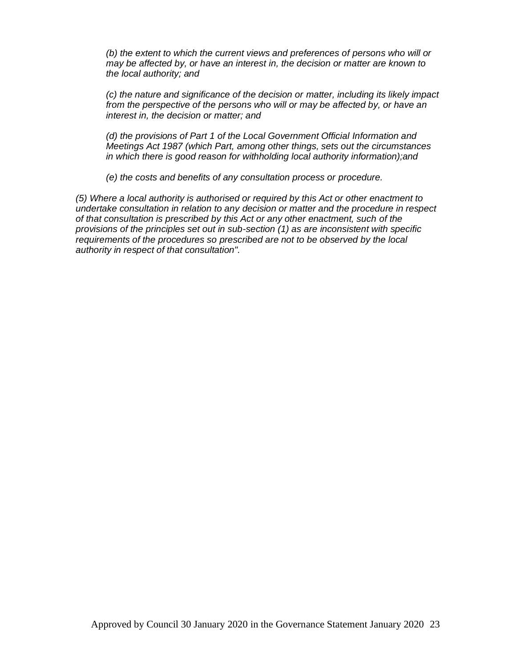*(b) the extent to which the current views and preferences of persons who will or may be affected by, or have an interest in, the decision or matter are known to the local authority; and*

*(c) the nature and significance of the decision or matter, including its likely impact from the perspective of the persons who will or may be affected by, or have an interest in, the decision or matter; and*

*(d) the provisions of Part 1 of the Local Government Official Information and Meetings Act 1987 (which Part, among other things, sets out the circumstances in which there is good reason for withholding local authority information);and*

*(e) the costs and benefits of any consultation process or procedure.*

*(5) Where a local authority is authorised or required by this Act or other enactment to undertake consultation in relation to any decision or matter and the procedure in respect of that consultation is prescribed by this Act or any other enactment, such of the provisions of the principles set out in sub-section (1) as are inconsistent with specific requirements of the procedures so prescribed are not to be observed by the local authority in respect of that consultation".*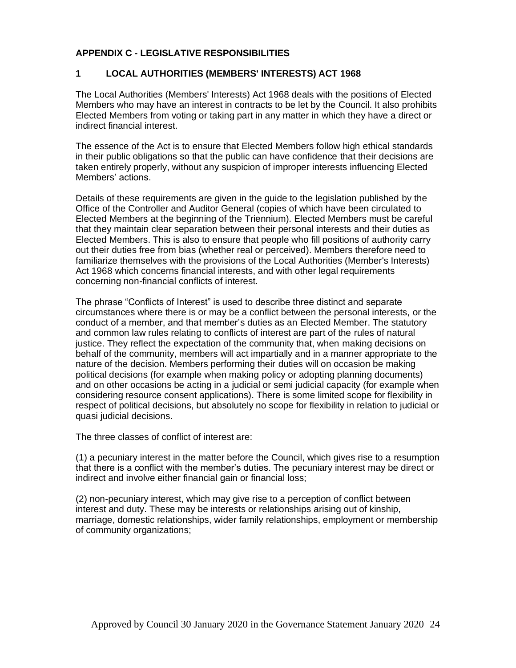## **APPENDIX C - LEGISLATIVE RESPONSIBILITIES**

## **1 LOCAL AUTHORITIES (MEMBERS' INTERESTS) ACT 1968**

The Local Authorities (Members' Interests) Act 1968 deals with the positions of Elected Members who may have an interest in contracts to be let by the Council. It also prohibits Elected Members from voting or taking part in any matter in which they have a direct or indirect financial interest.

The essence of the Act is to ensure that Elected Members follow high ethical standards in their public obligations so that the public can have confidence that their decisions are taken entirely properly, without any suspicion of improper interests influencing Elected Members' actions.

Details of these requirements are given in the guide to the legislation published by the Office of the Controller and Auditor General (copies of which have been circulated to Elected Members at the beginning of the Triennium). Elected Members must be careful that they maintain clear separation between their personal interests and their duties as Elected Members. This is also to ensure that people who fill positions of authority carry out their duties free from bias (whether real or perceived). Members therefore need to familiarize themselves with the provisions of the Local Authorities (Member's Interests) Act 1968 which concerns financial interests, and with other legal requirements concerning non-financial conflicts of interest.

The phrase "Conflicts of Interest" is used to describe three distinct and separate circumstances where there is or may be a conflict between the personal interests, or the conduct of a member, and that member's duties as an Elected Member. The statutory and common law rules relating to conflicts of interest are part of the rules of natural justice. They reflect the expectation of the community that, when making decisions on behalf of the community, members will act impartially and in a manner appropriate to the nature of the decision. Members performing their duties will on occasion be making political decisions (for example when making policy or adopting planning documents) and on other occasions be acting in a judicial or semi judicial capacity (for example when considering resource consent applications). There is some limited scope for flexibility in respect of political decisions, but absolutely no scope for flexibility in relation to judicial or quasi judicial decisions.

The three classes of conflict of interest are:

(1) a pecuniary interest in the matter before the Council, which gives rise to a resumption that there is a conflict with the member's duties. The pecuniary interest may be direct or indirect and involve either financial gain or financial loss;

(2) non-pecuniary interest, which may give rise to a perception of conflict between interest and duty. These may be interests or relationships arising out of kinship, marriage, domestic relationships, wider family relationships, employment or membership of community organizations;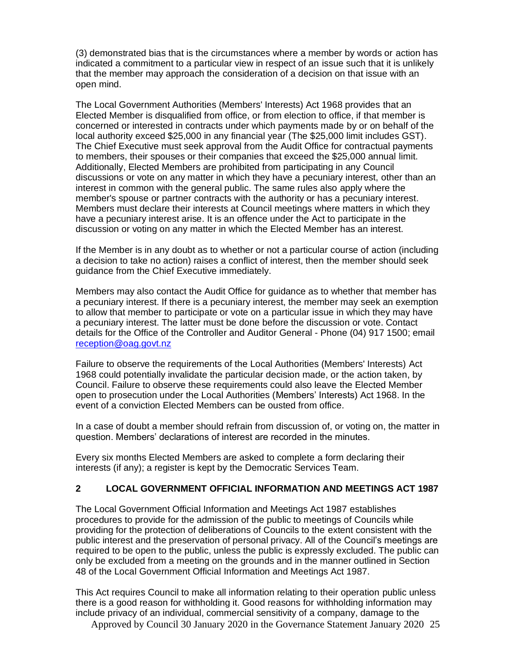(3) demonstrated bias that is the circumstances where a member by words or action has indicated a commitment to a particular view in respect of an issue such that it is unlikely that the member may approach the consideration of a decision on that issue with an open mind.

The Local Government Authorities (Members' Interests) Act 1968 provides that an Elected Member is disqualified from office, or from election to office, if that member is concerned or interested in contracts under which payments made by or on behalf of the local authority exceed \$25,000 in any financial year (The \$25,000 limit includes GST). The Chief Executive must seek approval from the Audit Office for contractual payments to members, their spouses or their companies that exceed the \$25,000 annual limit. Additionally, Elected Members are prohibited from participating in any Council discussions or vote on any matter in which they have a pecuniary interest, other than an interest in common with the general public. The same rules also apply where the member's spouse or partner contracts with the authority or has a pecuniary interest. Members must declare their interests at Council meetings where matters in which they have a pecuniary interest arise. It is an offence under the Act to participate in the discussion or voting on any matter in which the Elected Member has an interest.

If the Member is in any doubt as to whether or not a particular course of action (including a decision to take no action) raises a conflict of interest, then the member should seek guidance from the Chief Executive immediately.

Members may also contact the Audit Office for guidance as to whether that member has a pecuniary interest. If there is a pecuniary interest, the member may seek an exemption to allow that member to participate or vote on a particular issue in which they may have a pecuniary interest. The latter must be done before the discussion or vote. Contact details for the Office of the Controller and Auditor General - Phone (04) 917 1500; email [reception@oag.govt.nz](mailto:reception@oag.govt.nz)

Failure to observe the requirements of the Local Authorities (Members' Interests) Act 1968 could potentially invalidate the particular decision made, or the action taken, by Council. Failure to observe these requirements could also leave the Elected Member open to prosecution under the Local Authorities (Members' Interests) Act 1968. In the event of a conviction Elected Members can be ousted from office.

In a case of doubt a member should refrain from discussion of, or voting on, the matter in question. Members' declarations of interest are recorded in the minutes.

Every six months Elected Members are asked to complete a form declaring their interests (if any); a register is kept by the Democratic Services Team.

## **2 LOCAL GOVERNMENT OFFICIAL INFORMATION AND MEETINGS ACT 1987**

The Local Government Official Information and Meetings Act 1987 establishes procedures to provide for the admission of the public to meetings of Councils while providing for the protection of deliberations of Councils to the extent consistent with the public interest and the preservation of personal privacy. All of the Council's meetings are required to be open to the public, unless the public is expressly excluded. The public can only be excluded from a meeting on the grounds and in the manner outlined in Section 48 of the Local Government Official Information and Meetings Act 1987.

This Act requires Council to make all information relating to their operation public unless there is a good reason for withholding it. Good reasons for withholding information may include privacy of an individual, commercial sensitivity of a company, damage to the

Approved by Council 30 January 2020 in the Governance Statement January 2020 25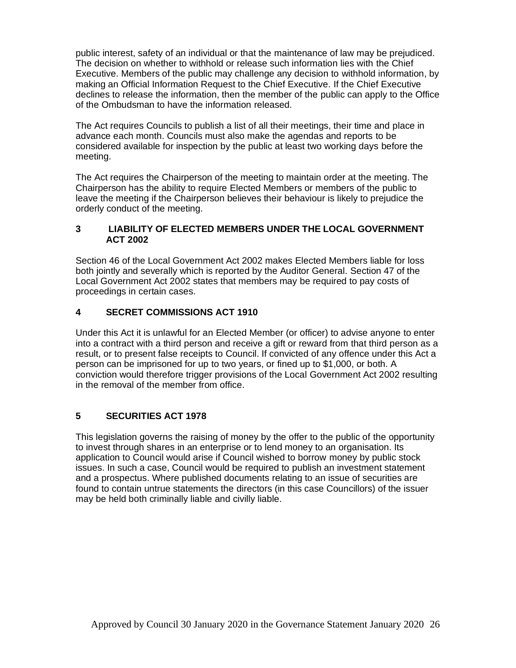public interest, safety of an individual or that the maintenance of law may be prejudiced. The decision on whether to withhold or release such information lies with the Chief Executive. Members of the public may challenge any decision to withhold information, by making an Official Information Request to the Chief Executive. If the Chief Executive declines to release the information, then the member of the public can apply to the Office of the Ombudsman to have the information released.

The Act requires Councils to publish a list of all their meetings, their time and place in advance each month. Councils must also make the agendas and reports to be considered available for inspection by the public at least two working days before the meeting.

The Act requires the Chairperson of the meeting to maintain order at the meeting. The Chairperson has the ability to require Elected Members or members of the public to leave the meeting if the Chairperson believes their behaviour is likely to prejudice the orderly conduct of the meeting.

## **3 LIABILITY OF ELECTED MEMBERS UNDER THE LOCAL GOVERNMENT ACT 2002**

Section 46 of the Local Government Act 2002 makes Elected Members liable for loss both jointly and severally which is reported by the Auditor General. Section 47 of the Local Government Act 2002 states that members may be required to pay costs of proceedings in certain cases.

## **4 SECRET COMMISSIONS ACT 1910**

Under this Act it is unlawful for an Elected Member (or officer) to advise anyone to enter into a contract with a third person and receive a gift or reward from that third person as a result, or to present false receipts to Council. If convicted of any offence under this Act a person can be imprisoned for up to two years, or fined up to \$1,000, or both. A conviction would therefore trigger provisions of the Local Government Act 2002 resulting in the removal of the member from office.

## **5 SECURITIES ACT 1978**

This legislation governs the raising of money by the offer to the public of the opportunity to invest through shares in an enterprise or to lend money to an organisation. Its application to Council would arise if Council wished to borrow money by public stock issues. In such a case, Council would be required to publish an investment statement and a prospectus. Where published documents relating to an issue of securities are found to contain untrue statements the directors (in this case Councillors) of the issuer may be held both criminally liable and civilly liable.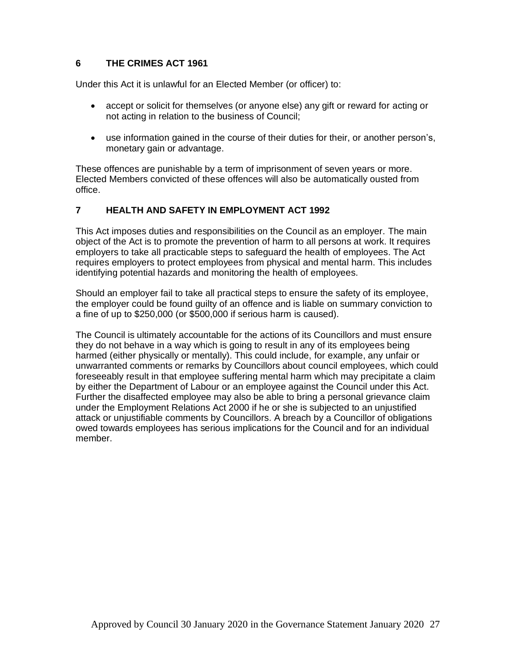## **6 THE CRIMES ACT 1961**

Under this Act it is unlawful for an Elected Member (or officer) to:

- accept or solicit for themselves (or anyone else) any gift or reward for acting or not acting in relation to the business of Council;
- use information gained in the course of their duties for their, or another person's, monetary gain or advantage.

These offences are punishable by a term of imprisonment of seven years or more. Elected Members convicted of these offences will also be automatically ousted from office.

## **7 HEALTH AND SAFETY IN EMPLOYMENT ACT 1992**

This Act imposes duties and responsibilities on the Council as an employer. The main object of the Act is to promote the prevention of harm to all persons at work. It requires employers to take all practicable steps to safeguard the health of employees. The Act requires employers to protect employees from physical and mental harm. This includes identifying potential hazards and monitoring the health of employees.

Should an employer fail to take all practical steps to ensure the safety of its employee, the employer could be found guilty of an offence and is liable on summary conviction to a fine of up to \$250,000 (or \$500,000 if serious harm is caused).

The Council is ultimately accountable for the actions of its Councillors and must ensure they do not behave in a way which is going to result in any of its employees being harmed (either physically or mentally). This could include, for example, any unfair or unwarranted comments or remarks by Councillors about council employees, which could foreseeably result in that employee suffering mental harm which may precipitate a claim by either the Department of Labour or an employee against the Council under this Act. Further the disaffected employee may also be able to bring a personal grievance claim under the Employment Relations Act 2000 if he or she is subjected to an unjustified attack or unjustifiable comments by Councillors. A breach by a Councillor of obligations owed towards employees has serious implications for the Council and for an individual member.